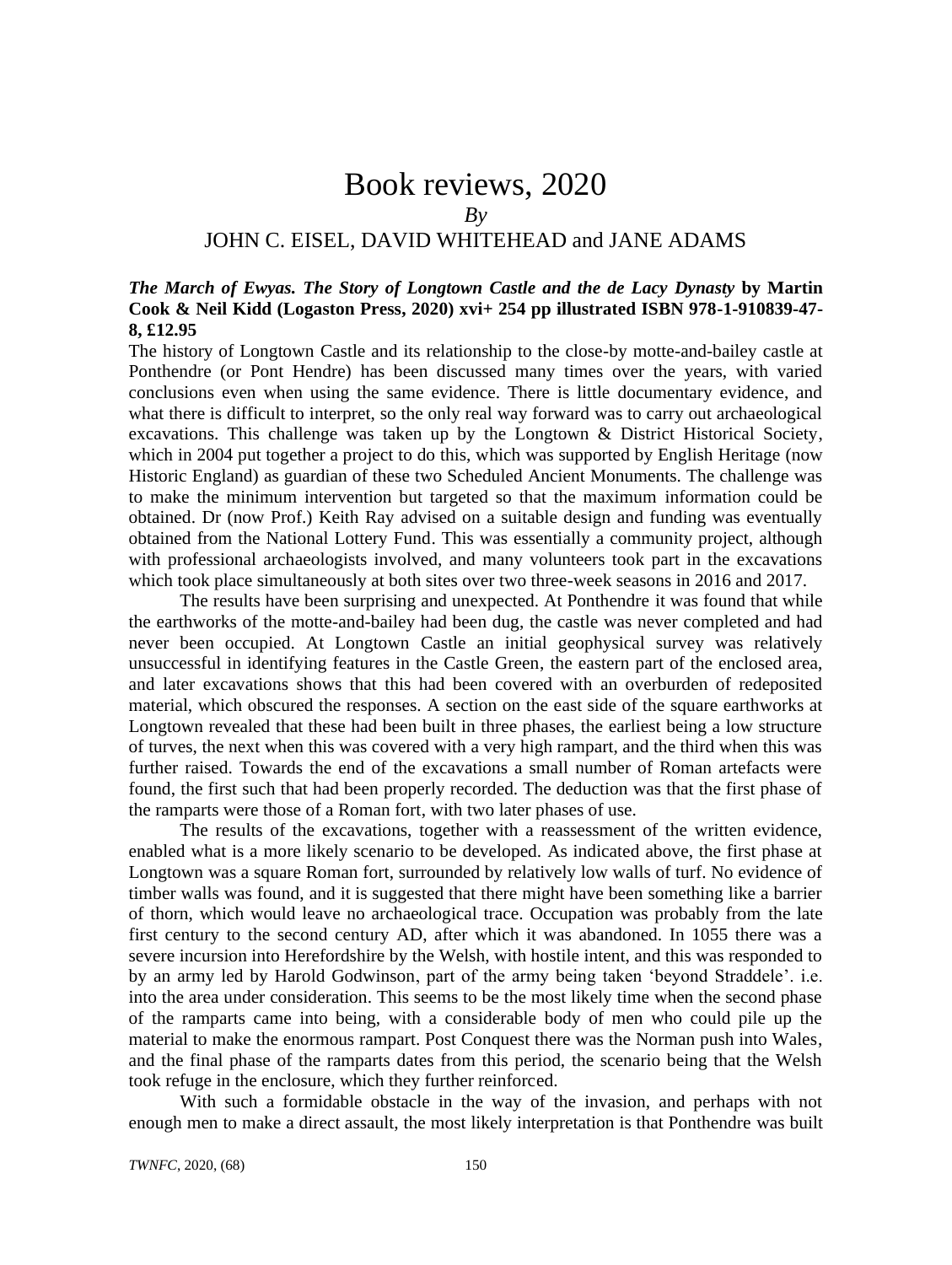# Book reviews, 2020 *By* JOHN C. EISEL, DAVID WHITEHEAD and JANE ADAMS

# *The March of Ewyas. The Story of Longtown Castle and the de Lacy Dynasty* **by Martin Cook & Neil Kidd (Logaston Press, 2020) xvi+ 254 pp illustrated ISBN 978-1-910839-47- 8, £12.95**

The history of Longtown Castle and its relationship to the close-by motte-and-bailey castle at Ponthendre (or Pont Hendre) has been discussed many times over the years, with varied conclusions even when using the same evidence. There is little documentary evidence, and what there is difficult to interpret, so the only real way forward was to carry out archaeological excavations. This challenge was taken up by the Longtown & District Historical Society, which in 2004 put together a project to do this, which was supported by English Heritage (now Historic England) as guardian of these two Scheduled Ancient Monuments. The challenge was to make the minimum intervention but targeted so that the maximum information could be obtained. Dr (now Prof.) Keith Ray advised on a suitable design and funding was eventually obtained from the National Lottery Fund. This was essentially a community project, although with professional archaeologists involved, and many volunteers took part in the excavations which took place simultaneously at both sites over two three-week seasons in 2016 and 2017.

The results have been surprising and unexpected. At Ponthendre it was found that while the earthworks of the motte-and-bailey had been dug, the castle was never completed and had never been occupied. At Longtown Castle an initial geophysical survey was relatively unsuccessful in identifying features in the Castle Green, the eastern part of the enclosed area, and later excavations shows that this had been covered with an overburden of redeposited material, which obscured the responses. A section on the east side of the square earthworks at Longtown revealed that these had been built in three phases, the earliest being a low structure of turves, the next when this was covered with a very high rampart, and the third when this was further raised. Towards the end of the excavations a small number of Roman artefacts were found, the first such that had been properly recorded. The deduction was that the first phase of the ramparts were those of a Roman fort, with two later phases of use.

The results of the excavations, together with a reassessment of the written evidence, enabled what is a more likely scenario to be developed. As indicated above, the first phase at Longtown was a square Roman fort, surrounded by relatively low walls of turf. No evidence of timber walls was found, and it is suggested that there might have been something like a barrier of thorn, which would leave no archaeological trace. Occupation was probably from the late first century to the second century AD, after which it was abandoned. In 1055 there was a severe incursion into Herefordshire by the Welsh, with hostile intent, and this was responded to by an army led by Harold Godwinson, part of the army being taken 'beyond Straddele'. i.e. into the area under consideration. This seems to be the most likely time when the second phase of the ramparts came into being, with a considerable body of men who could pile up the material to make the enormous rampart. Post Conquest there was the Norman push into Wales, and the final phase of the ramparts dates from this period, the scenario being that the Welsh took refuge in the enclosure, which they further reinforced.

With such a formidable obstacle in the way of the invasion, and perhaps with not enough men to make a direct assault, the most likely interpretation is that Ponthendre was built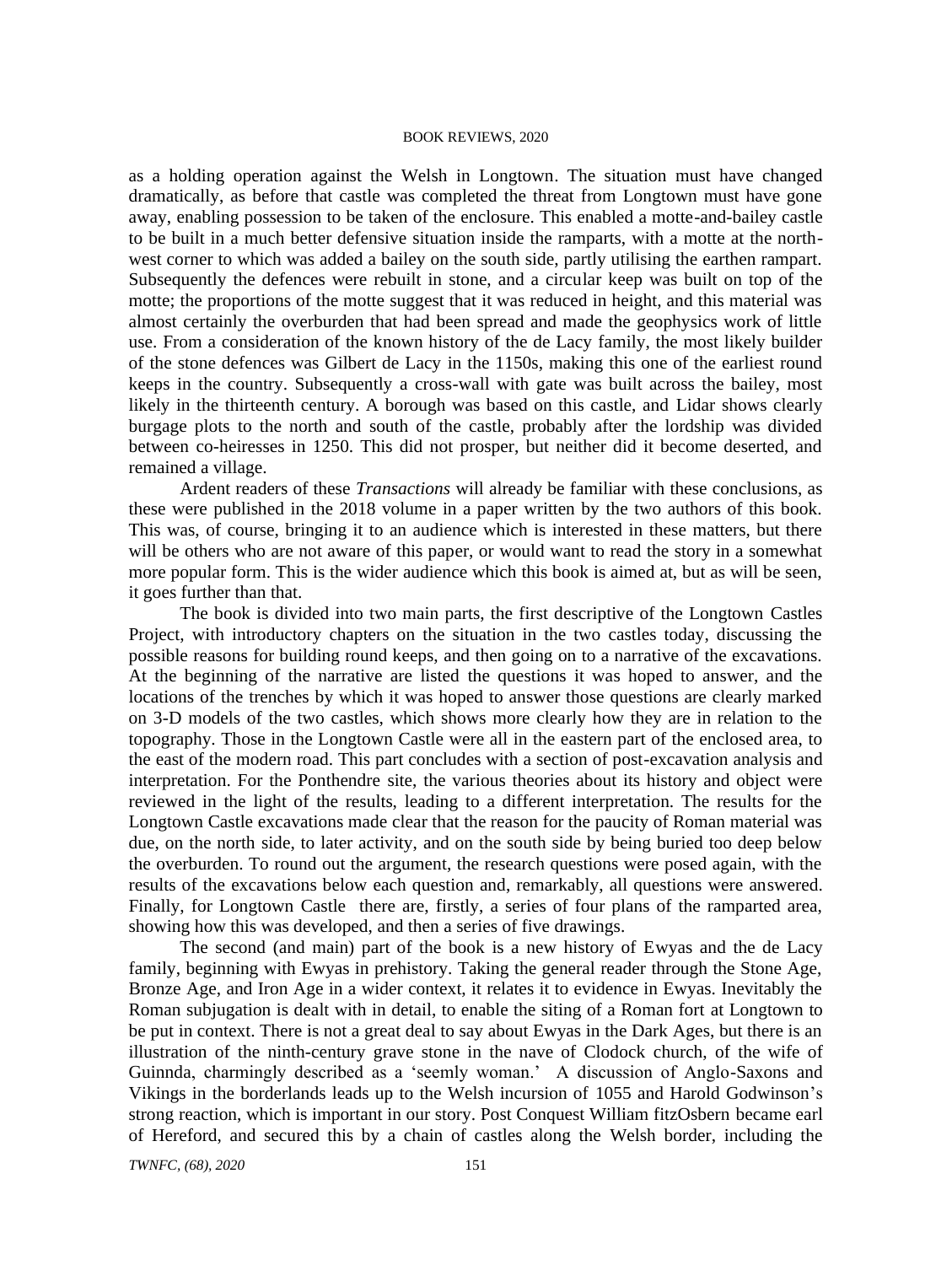as a holding operation against the Welsh in Longtown. The situation must have changed dramatically, as before that castle was completed the threat from Longtown must have gone away, enabling possession to be taken of the enclosure. This enabled a motte-and-bailey castle to be built in a much better defensive situation inside the ramparts, with a motte at the northwest corner to which was added a bailey on the south side, partly utilising the earthen rampart. Subsequently the defences were rebuilt in stone, and a circular keep was built on top of the motte; the proportions of the motte suggest that it was reduced in height, and this material was almost certainly the overburden that had been spread and made the geophysics work of little use. From a consideration of the known history of the de Lacy family, the most likely builder of the stone defences was Gilbert de Lacy in the 1150s, making this one of the earliest round keeps in the country. Subsequently a cross-wall with gate was built across the bailey, most likely in the thirteenth century. A borough was based on this castle, and Lidar shows clearly burgage plots to the north and south of the castle, probably after the lordship was divided between co-heiresses in 1250. This did not prosper, but neither did it become deserted, and remained a village.

Ardent readers of these *Transactions* will already be familiar with these conclusions, as these were published in the 2018 volume in a paper written by the two authors of this book. This was, of course, bringing it to an audience which is interested in these matters, but there will be others who are not aware of this paper, or would want to read the story in a somewhat more popular form. This is the wider audience which this book is aimed at, but as will be seen, it goes further than that.

The book is divided into two main parts, the first descriptive of the Longtown Castles Project, with introductory chapters on the situation in the two castles today, discussing the possible reasons for building round keeps, and then going on to a narrative of the excavations. At the beginning of the narrative are listed the questions it was hoped to answer, and the locations of the trenches by which it was hoped to answer those questions are clearly marked on 3-D models of the two castles, which shows more clearly how they are in relation to the topography. Those in the Longtown Castle were all in the eastern part of the enclosed area, to the east of the modern road. This part concludes with a section of post-excavation analysis and interpretation. For the Ponthendre site, the various theories about its history and object were reviewed in the light of the results, leading to a different interpretation. The results for the Longtown Castle excavations made clear that the reason for the paucity of Roman material was due, on the north side, to later activity, and on the south side by being buried too deep below the overburden. To round out the argument, the research questions were posed again, with the results of the excavations below each question and, remarkably, all questions were answered. Finally, for Longtown Castle there are, firstly, a series of four plans of the ramparted area, showing how this was developed, and then a series of five drawings.

The second (and main) part of the book is a new history of Ewyas and the de Lacy family, beginning with Ewyas in prehistory. Taking the general reader through the Stone Age, Bronze Age, and Iron Age in a wider context, it relates it to evidence in Ewyas. Inevitably the Roman subjugation is dealt with in detail, to enable the siting of a Roman fort at Longtown to be put in context. There is not a great deal to say about Ewyas in the Dark Ages, but there is an illustration of the ninth-century grave stone in the nave of Clodock church, of the wife of Guinnda, charmingly described as a 'seemly woman.' A discussion of Anglo-Saxons and Vikings in the borderlands leads up to the Welsh incursion of 1055 and Harold Godwinson's strong reaction, which is important in our story. Post Conquest William fitzOsbern became earl of Hereford, and secured this by a chain of castles along the Welsh border, including the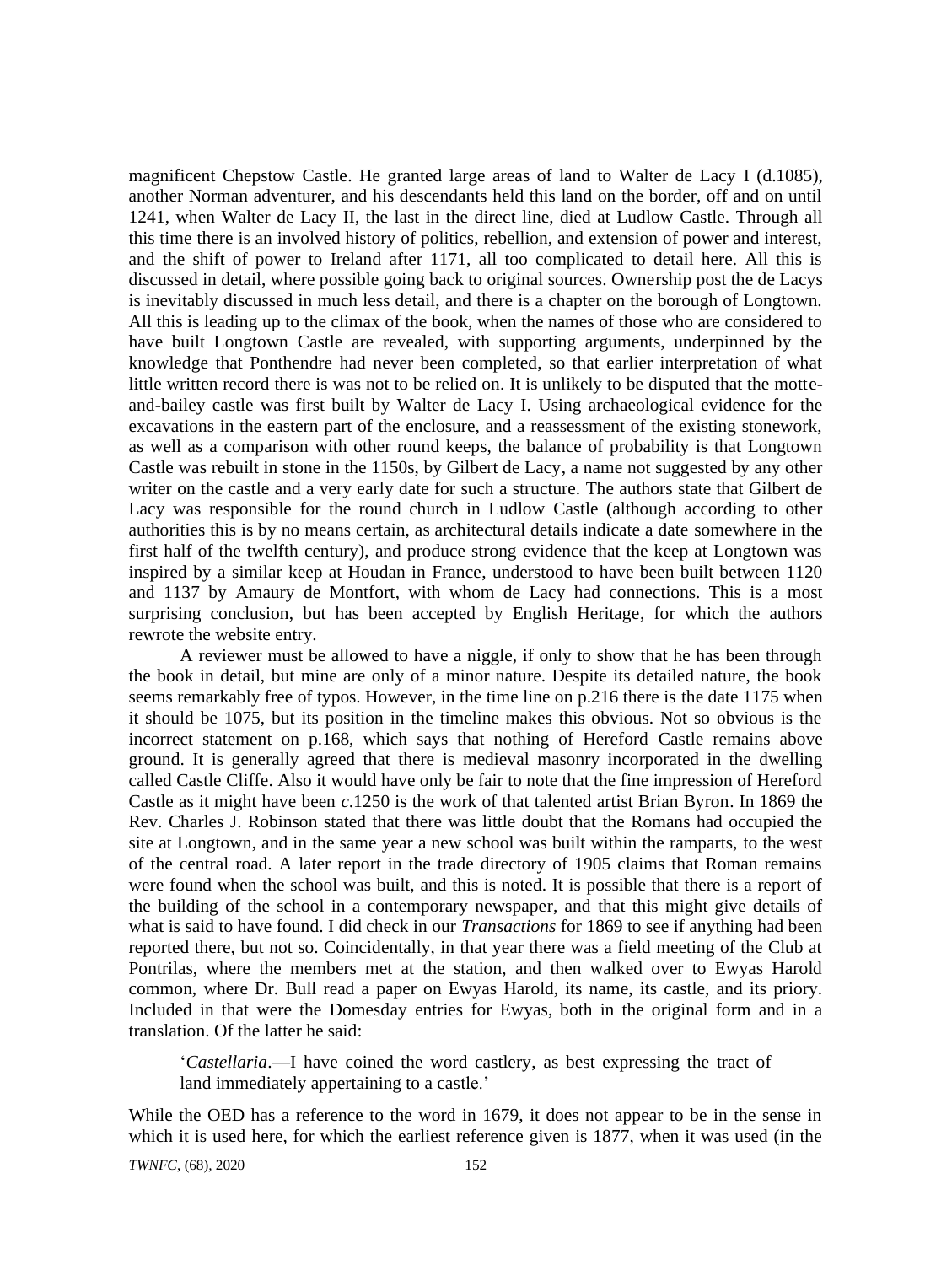magnificent Chepstow Castle. He granted large areas of land to Walter de Lacy I (d.1085), another Norman adventurer, and his descendants held this land on the border, off and on until 1241, when Walter de Lacy II, the last in the direct line, died at Ludlow Castle. Through all this time there is an involved history of politics, rebellion, and extension of power and interest, and the shift of power to Ireland after 1171, all too complicated to detail here. All this is discussed in detail, where possible going back to original sources. Ownership post the de Lacys is inevitably discussed in much less detail, and there is a chapter on the borough of Longtown. All this is leading up to the climax of the book, when the names of those who are considered to have built Longtown Castle are revealed, with supporting arguments, underpinned by the knowledge that Ponthendre had never been completed, so that earlier interpretation of what little written record there is was not to be relied on. It is unlikely to be disputed that the motteand-bailey castle was first built by Walter de Lacy I. Using archaeological evidence for the excavations in the eastern part of the enclosure, and a reassessment of the existing stonework, as well as a comparison with other round keeps, the balance of probability is that Longtown Castle was rebuilt in stone in the 1150s, by Gilbert de Lacy, a name not suggested by any other writer on the castle and a very early date for such a structure. The authors state that Gilbert de Lacy was responsible for the round church in Ludlow Castle (although according to other authorities this is by no means certain, as architectural details indicate a date somewhere in the first half of the twelfth century), and produce strong evidence that the keep at Longtown was inspired by a similar keep at Houdan in France, understood to have been built between 1120 and 1137 by Amaury de Montfort, with whom de Lacy had connections. This is a most surprising conclusion, but has been accepted by English Heritage, for which the authors rewrote the website entry.

A reviewer must be allowed to have a niggle, if only to show that he has been through the book in detail, but mine are only of a minor nature. Despite its detailed nature, the book seems remarkably free of typos. However, in the time line on p.216 there is the date 1175 when it should be 1075, but its position in the timeline makes this obvious. Not so obvious is the incorrect statement on p.168, which says that nothing of Hereford Castle remains above ground. It is generally agreed that there is medieval masonry incorporated in the dwelling called Castle Cliffe. Also it would have only be fair to note that the fine impression of Hereford Castle as it might have been *c*.1250 is the work of that talented artist Brian Byron. In 1869 the Rev. Charles J. Robinson stated that there was little doubt that the Romans had occupied the site at Longtown, and in the same year a new school was built within the ramparts, to the west of the central road. A later report in the trade directory of 1905 claims that Roman remains were found when the school was built, and this is noted. It is possible that there is a report of the building of the school in a contemporary newspaper, and that this might give details of what is said to have found. I did check in our *Transactions* for 1869 to see if anything had been reported there, but not so. Coincidentally, in that year there was a field meeting of the Club at Pontrilas, where the members met at the station, and then walked over to Ewyas Harold common, where Dr. Bull read a paper on Ewyas Harold, its name, its castle, and its priory. Included in that were the Domesday entries for Ewyas, both in the original form and in a translation. Of the latter he said:

'*Castellaria*.—I have coined the word castlery, as best expressing the tract of land immediately appertaining to a castle.'

While the OED has a reference to the word in 1679, it does not appear to be in the sense in which it is used here, for which the earliest reference given is 1877, when it was used (in the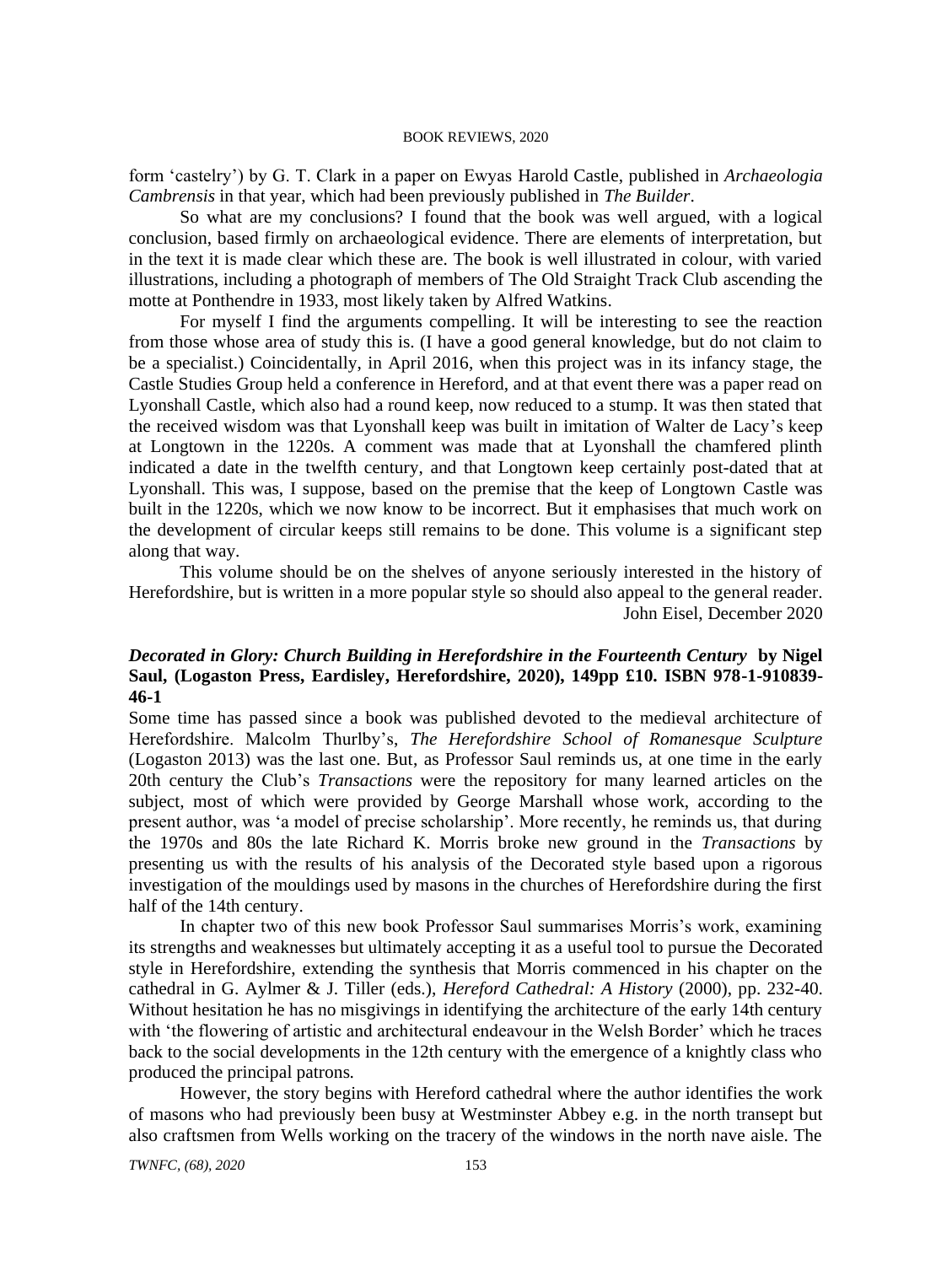form 'castelry') by G. T. Clark in a paper on Ewyas Harold Castle, published in *Archaeologia Cambrensis* in that year, which had been previously published in *The Builder*.

So what are my conclusions? I found that the book was well argued, with a logical conclusion, based firmly on archaeological evidence. There are elements of interpretation, but in the text it is made clear which these are. The book is well illustrated in colour, with varied illustrations, including a photograph of members of The Old Straight Track Club ascending the motte at Ponthendre in 1933, most likely taken by Alfred Watkins.

For myself I find the arguments compelling. It will be interesting to see the reaction from those whose area of study this is. (I have a good general knowledge, but do not claim to be a specialist.) Coincidentally, in April 2016, when this project was in its infancy stage, the Castle Studies Group held a conference in Hereford, and at that event there was a paper read on Lyonshall Castle, which also had a round keep, now reduced to a stump. It was then stated that the received wisdom was that Lyonshall keep was built in imitation of Walter de Lacy's keep at Longtown in the 1220s. A comment was made that at Lyonshall the chamfered plinth indicated a date in the twelfth century, and that Longtown keep certainly post-dated that at Lyonshall. This was, I suppose, based on the premise that the keep of Longtown Castle was built in the 1220s, which we now know to be incorrect. But it emphasises that much work on the development of circular keeps still remains to be done. This volume is a significant step along that way.

This volume should be on the shelves of anyone seriously interested in the history of Herefordshire, but is written in a more popular style so should also appeal to the general reader. John Eisel, December 2020

# *Decorated in Glory: Church Building in Herefordshire in the Fourteenth Century* **by Nigel Saul, (Logaston Press, Eardisley, Herefordshire, 2020), 149pp £10. ISBN 978-1-910839- 46-1**

Some time has passed since a book was published devoted to the medieval architecture of Herefordshire. Malcolm Thurlby's, *The Herefordshire School of Romanesque Sculpture* (Logaston 2013) was the last one. But, as Professor Saul reminds us, at one time in the early 20th century the Club's *Transactions* were the repository for many learned articles on the subject, most of which were provided by George Marshall whose work, according to the present author, was 'a model of precise scholarship'. More recently, he reminds us, that during the 1970s and 80s the late Richard K. Morris broke new ground in the *Transactions* by presenting us with the results of his analysis of the Decorated style based upon a rigorous investigation of the mouldings used by masons in the churches of Herefordshire during the first half of the 14th century.

In chapter two of this new book Professor Saul summarises Morris's work, examining its strengths and weaknesses but ultimately accepting it as a useful tool to pursue the Decorated style in Herefordshire, extending the synthesis that Morris commenced in his chapter on the cathedral in G. Aylmer & J. Tiller (eds.), *Hereford Cathedral: A History* (2000), pp. 232-40. Without hesitation he has no misgivings in identifying the architecture of the early 14th century with 'the flowering of artistic and architectural endeavour in the Welsh Border' which he traces back to the social developments in the 12th century with the emergence of a knightly class who produced the principal patrons.

However, the story begins with Hereford cathedral where the author identifies the work of masons who had previously been busy at Westminster Abbey e.g. in the north transept but also craftsmen from Wells working on the tracery of the windows in the north nave aisle. The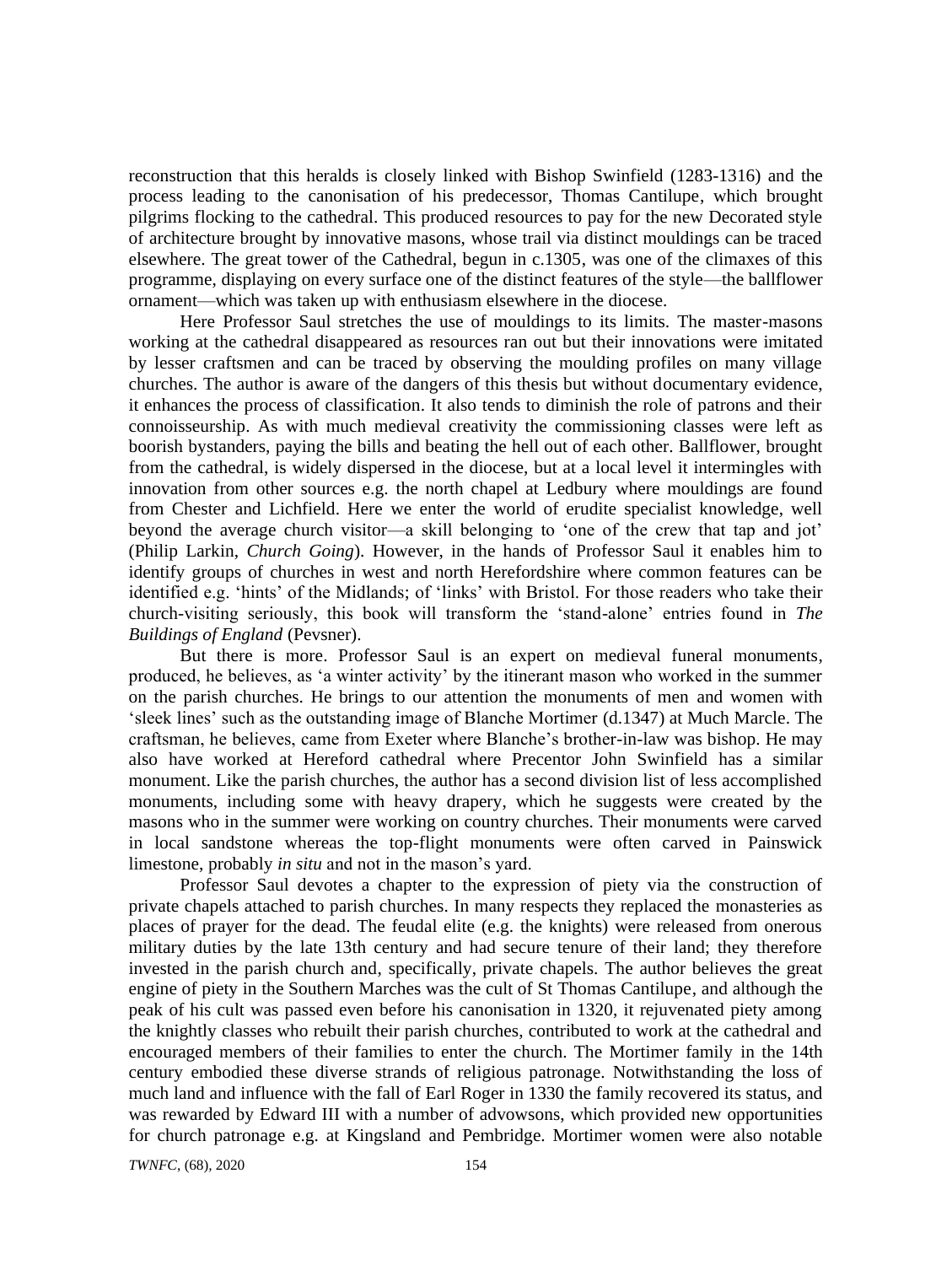reconstruction that this heralds is closely linked with Bishop Swinfield (1283-1316) and the process leading to the canonisation of his predecessor, Thomas Cantilupe, which brought pilgrims flocking to the cathedral. This produced resources to pay for the new Decorated style of architecture brought by innovative masons, whose trail via distinct mouldings can be traced elsewhere. The great tower of the Cathedral, begun in c.1305, was one of the climaxes of this programme, displaying on every surface one of the distinct features of the style—the ballflower ornament—which was taken up with enthusiasm elsewhere in the diocese.

Here Professor Saul stretches the use of mouldings to its limits. The master-masons working at the cathedral disappeared as resources ran out but their innovations were imitated by lesser craftsmen and can be traced by observing the moulding profiles on many village churches. The author is aware of the dangers of this thesis but without documentary evidence, it enhances the process of classification. It also tends to diminish the role of patrons and their connoisseurship. As with much medieval creativity the commissioning classes were left as boorish bystanders, paying the bills and beating the hell out of each other. Ballflower, brought from the cathedral, is widely dispersed in the diocese, but at a local level it intermingles with innovation from other sources e.g. the north chapel at Ledbury where mouldings are found from Chester and Lichfield. Here we enter the world of erudite specialist knowledge, well beyond the average church visitor—a skill belonging to 'one of the crew that tap and jot' (Philip Larkin, *Church Going*). However, in the hands of Professor Saul it enables him to identify groups of churches in west and north Herefordshire where common features can be identified e.g. 'hints' of the Midlands; of 'links' with Bristol. For those readers who take their church-visiting seriously, this book will transform the 'stand-alone' entries found in *The Buildings of England* (Pevsner).

But there is more. Professor Saul is an expert on medieval funeral monuments, produced, he believes, as 'a winter activity' by the itinerant mason who worked in the summer on the parish churches. He brings to our attention the monuments of men and women with 'sleek lines' such as the outstanding image of Blanche Mortimer (d.1347) at Much Marcle. The craftsman, he believes, came from Exeter where Blanche's brother-in-law was bishop. He may also have worked at Hereford cathedral where Precentor John Swinfield has a similar monument. Like the parish churches, the author has a second division list of less accomplished monuments, including some with heavy drapery, which he suggests were created by the masons who in the summer were working on country churches. Their monuments were carved in local sandstone whereas the top-flight monuments were often carved in Painswick limestone, probably *in situ* and not in the mason's yard.

Professor Saul devotes a chapter to the expression of piety via the construction of private chapels attached to parish churches. In many respects they replaced the monasteries as places of prayer for the dead. The feudal elite (e.g. the knights) were released from onerous military duties by the late 13th century and had secure tenure of their land; they therefore invested in the parish church and, specifically, private chapels. The author believes the great engine of piety in the Southern Marches was the cult of St Thomas Cantilupe, and although the peak of his cult was passed even before his canonisation in 1320, it rejuvenated piety among the knightly classes who rebuilt their parish churches, contributed to work at the cathedral and encouraged members of their families to enter the church. The Mortimer family in the 14th century embodied these diverse strands of religious patronage. Notwithstanding the loss of much land and influence with the fall of Earl Roger in 1330 the family recovered its status, and was rewarded by Edward III with a number of advowsons, which provided new opportunities for church patronage e.g. at Kingsland and Pembridge. Mortimer women were also notable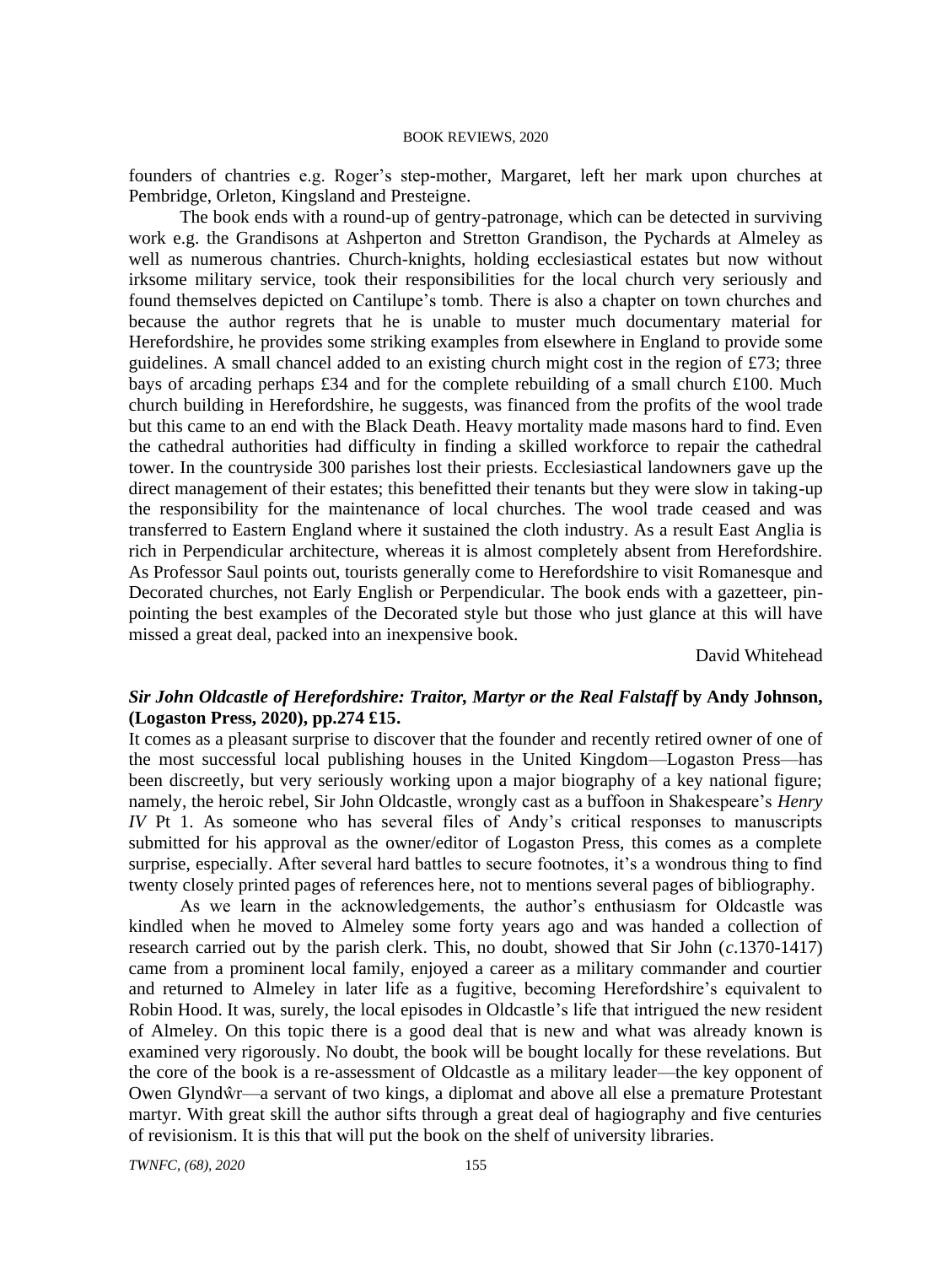founders of chantries e.g. Roger's step-mother, Margaret, left her mark upon churches at Pembridge, Orleton, Kingsland and Presteigne.

The book ends with a round-up of gentry-patronage, which can be detected in surviving work e.g. the Grandisons at Ashperton and Stretton Grandison, the Pychards at Almeley as well as numerous chantries. Church-knights, holding ecclesiastical estates but now without irksome military service, took their responsibilities for the local church very seriously and found themselves depicted on Cantilupe's tomb. There is also a chapter on town churches and because the author regrets that he is unable to muster much documentary material for Herefordshire, he provides some striking examples from elsewhere in England to provide some guidelines. A small chancel added to an existing church might cost in the region of £73; three bays of arcading perhaps £34 and for the complete rebuilding of a small church £100. Much church building in Herefordshire, he suggests, was financed from the profits of the wool trade but this came to an end with the Black Death. Heavy mortality made masons hard to find. Even the cathedral authorities had difficulty in finding a skilled workforce to repair the cathedral tower. In the countryside 300 parishes lost their priests. Ecclesiastical landowners gave up the direct management of their estates; this benefitted their tenants but they were slow in taking-up the responsibility for the maintenance of local churches. The wool trade ceased and was transferred to Eastern England where it sustained the cloth industry. As a result East Anglia is rich in Perpendicular architecture, whereas it is almost completely absent from Herefordshire. As Professor Saul points out, tourists generally come to Herefordshire to visit Romanesque and Decorated churches, not Early English or Perpendicular. The book ends with a gazetteer, pinpointing the best examples of the Decorated style but those who just glance at this will have missed a great deal, packed into an inexpensive book.

David Whitehead

# *Sir John Oldcastle of Herefordshire: Traitor, Martyr or the Real Falstaff* **by Andy Johnson, (Logaston Press, 2020), pp.274 £15.**

It comes as a pleasant surprise to discover that the founder and recently retired owner of one of the most successful local publishing houses in the United Kingdom—Logaston Press—has been discreetly, but very seriously working upon a major biography of a key national figure; namely, the heroic rebel, Sir John Oldcastle, wrongly cast as a buffoon in Shakespeare's *Henry IV* Pt 1. As someone who has several files of Andy's critical responses to manuscripts submitted for his approval as the owner/editor of Logaston Press, this comes as a complete surprise, especially. After several hard battles to secure footnotes, it's a wondrous thing to find twenty closely printed pages of references here, not to mentions several pages of bibliography.

As we learn in the acknowledgements, the author's enthusiasm for Oldcastle was kindled when he moved to Almeley some forty years ago and was handed a collection of research carried out by the parish clerk. This, no doubt, showed that Sir John (*c*.1370-1417) came from a prominent local family, enjoyed a career as a military commander and courtier and returned to Almeley in later life as a fugitive, becoming Herefordshire's equivalent to Robin Hood. It was, surely, the local episodes in Oldcastle's life that intrigued the new resident of Almeley. On this topic there is a good deal that is new and what was already known is examined very rigorously. No doubt, the book will be bought locally for these revelations. But the core of the book is a re-assessment of Oldcastle as a military leader—the key opponent of Owen Glyndŵr—a servant of two kings, a diplomat and above all else a premature Protestant martyr. With great skill the author sifts through a great deal of hagiography and five centuries of revisionism. It is this that will put the book on the shelf of university libraries.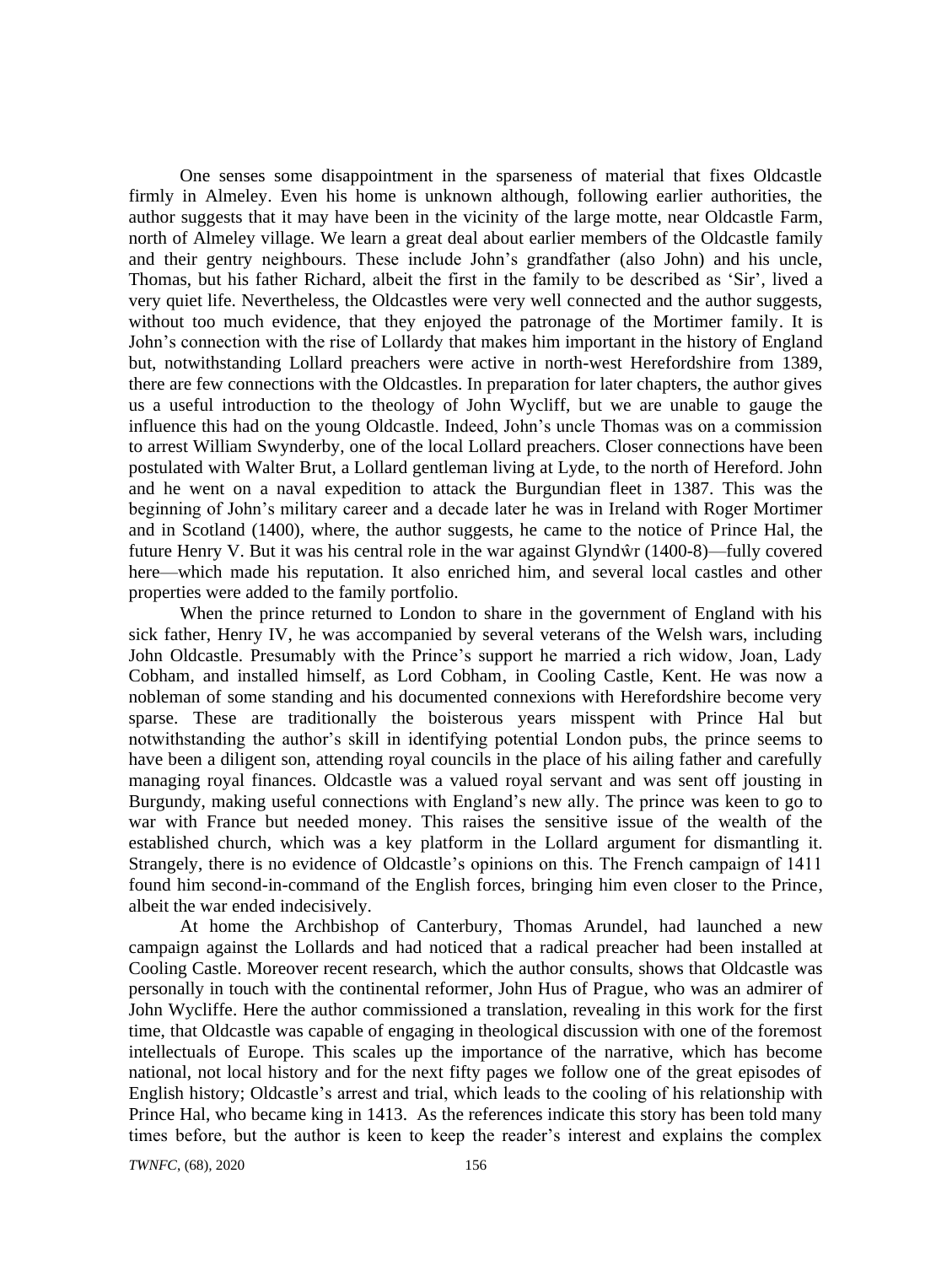One senses some disappointment in the sparseness of material that fixes Oldcastle firmly in Almeley. Even his home is unknown although, following earlier authorities, the author suggests that it may have been in the vicinity of the large motte, near Oldcastle Farm, north of Almeley village. We learn a great deal about earlier members of the Oldcastle family and their gentry neighbours. These include John's grandfather (also John) and his uncle, Thomas, but his father Richard, albeit the first in the family to be described as 'Sir', lived a very quiet life. Nevertheless, the Oldcastles were very well connected and the author suggests, without too much evidence, that they enjoyed the patronage of the Mortimer family. It is John's connection with the rise of Lollardy that makes him important in the history of England but, notwithstanding Lollard preachers were active in north-west Herefordshire from 1389, there are few connections with the Oldcastles. In preparation for later chapters, the author gives us a useful introduction to the theology of John Wycliff, but we are unable to gauge the influence this had on the young Oldcastle. Indeed, John's uncle Thomas was on a commission to arrest William Swynderby, one of the local Lollard preachers. Closer connections have been postulated with Walter Brut, a Lollard gentleman living at Lyde, to the north of Hereford. John and he went on a naval expedition to attack the Burgundian fleet in 1387. This was the beginning of John's military career and a decade later he was in Ireland with Roger Mortimer and in Scotland (1400), where, the author suggests, he came to the notice of Prince Hal, the future Henry V. But it was his central role in the war against Glyndŵr (1400-8)—fully covered here—which made his reputation. It also enriched him, and several local castles and other properties were added to the family portfolio.

When the prince returned to London to share in the government of England with his sick father, Henry IV, he was accompanied by several veterans of the Welsh wars, including John Oldcastle. Presumably with the Prince's support he married a rich widow, Joan, Lady Cobham, and installed himself, as Lord Cobham, in Cooling Castle, Kent. He was now a nobleman of some standing and his documented connexions with Herefordshire become very sparse. These are traditionally the boisterous years misspent with Prince Hal but notwithstanding the author's skill in identifying potential London pubs, the prince seems to have been a diligent son, attending royal councils in the place of his ailing father and carefully managing royal finances. Oldcastle was a valued royal servant and was sent off jousting in Burgundy, making useful connections with England's new ally. The prince was keen to go to war with France but needed money. This raises the sensitive issue of the wealth of the established church, which was a key platform in the Lollard argument for dismantling it. Strangely, there is no evidence of Oldcastle's opinions on this. The French campaign of 1411 found him second-in-command of the English forces, bringing him even closer to the Prince, albeit the war ended indecisively.

At home the Archbishop of Canterbury, Thomas Arundel, had launched a new campaign against the Lollards and had noticed that a radical preacher had been installed at Cooling Castle. Moreover recent research, which the author consults, shows that Oldcastle was personally in touch with the continental reformer, John Hus of Prague, who was an admirer of John Wycliffe. Here the author commissioned a translation, revealing in this work for the first time, that Oldcastle was capable of engaging in theological discussion with one of the foremost intellectuals of Europe. This scales up the importance of the narrative, which has become national, not local history and for the next fifty pages we follow one of the great episodes of English history; Oldcastle's arrest and trial, which leads to the cooling of his relationship with Prince Hal, who became king in 1413. As the references indicate this story has been told many times before, but the author is keen to keep the reader's interest and explains the complex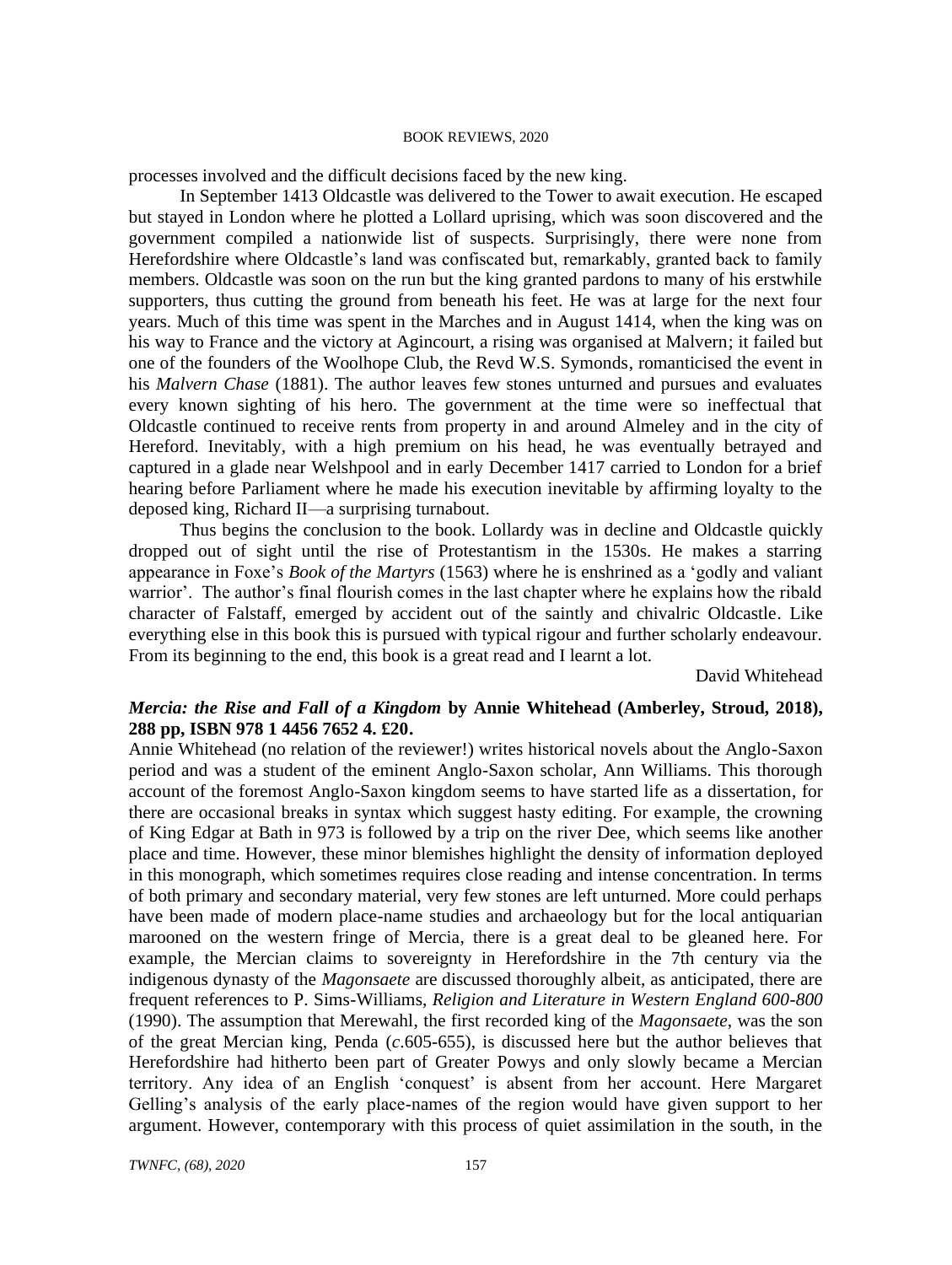processes involved and the difficult decisions faced by the new king.

In September 1413 Oldcastle was delivered to the Tower to await execution. He escaped but stayed in London where he plotted a Lollard uprising, which was soon discovered and the government compiled a nationwide list of suspects. Surprisingly, there were none from Herefordshire where Oldcastle's land was confiscated but, remarkably, granted back to family members. Oldcastle was soon on the run but the king granted pardons to many of his erstwhile supporters, thus cutting the ground from beneath his feet. He was at large for the next four years. Much of this time was spent in the Marches and in August 1414, when the king was on his way to France and the victory at Agincourt, a rising was organised at Malvern; it failed but one of the founders of the Woolhope Club, the Revd W.S. Symonds, romanticised the event in his *Malvern Chase* (1881). The author leaves few stones unturned and pursues and evaluates every known sighting of his hero. The government at the time were so ineffectual that Oldcastle continued to receive rents from property in and around Almeley and in the city of Hereford. Inevitably, with a high premium on his head, he was eventually betrayed and captured in a glade near Welshpool and in early December 1417 carried to London for a brief hearing before Parliament where he made his execution inevitable by affirming loyalty to the deposed king, Richard II—a surprising turnabout.

Thus begins the conclusion to the book. Lollardy was in decline and Oldcastle quickly dropped out of sight until the rise of Protestantism in the 1530s. He makes a starring appearance in Foxe's *Book of the Martyrs* (1563) where he is enshrined as a 'godly and valiant warrior'. The author's final flourish comes in the last chapter where he explains how the ribald character of Falstaff, emerged by accident out of the saintly and chivalric Oldcastle. Like everything else in this book this is pursued with typical rigour and further scholarly endeavour. From its beginning to the end, this book is a great read and I learnt a lot.

David Whitehead

## *Mercia: the Rise and Fall of a Kingdom* **by Annie Whitehead (Amberley, Stroud, 2018), 288 pp, ISBN 978 1 4456 7652 4. £20.**

Annie Whitehead (no relation of the reviewer!) writes historical novels about the Anglo-Saxon period and was a student of the eminent Anglo-Saxon scholar, Ann Williams. This thorough account of the foremost Anglo-Saxon kingdom seems to have started life as a dissertation, for there are occasional breaks in syntax which suggest hasty editing. For example, the crowning of King Edgar at Bath in 973 is followed by a trip on the river Dee, which seems like another place and time. However, these minor blemishes highlight the density of information deployed in this monograph, which sometimes requires close reading and intense concentration. In terms of both primary and secondary material, very few stones are left unturned. More could perhaps have been made of modern place-name studies and archaeology but for the local antiquarian marooned on the western fringe of Mercia, there is a great deal to be gleaned here. For example, the Mercian claims to sovereignty in Herefordshire in the 7th century via the indigenous dynasty of the *Magonsaete* are discussed thoroughly albeit, as anticipated, there are frequent references to P. Sims-Williams, *Religion and Literature in Western England 600-800*  (1990). The assumption that Merewahl, the first recorded king of the *Magonsaete*, was the son of the great Mercian king, Penda (*c*.605-655), is discussed here but the author believes that Herefordshire had hitherto been part of Greater Powys and only slowly became a Mercian territory. Any idea of an English 'conquest' is absent from her account. Here Margaret Gelling's analysis of the early place-names of the region would have given support to her argument. However, contemporary with this process of quiet assimilation in the south, in the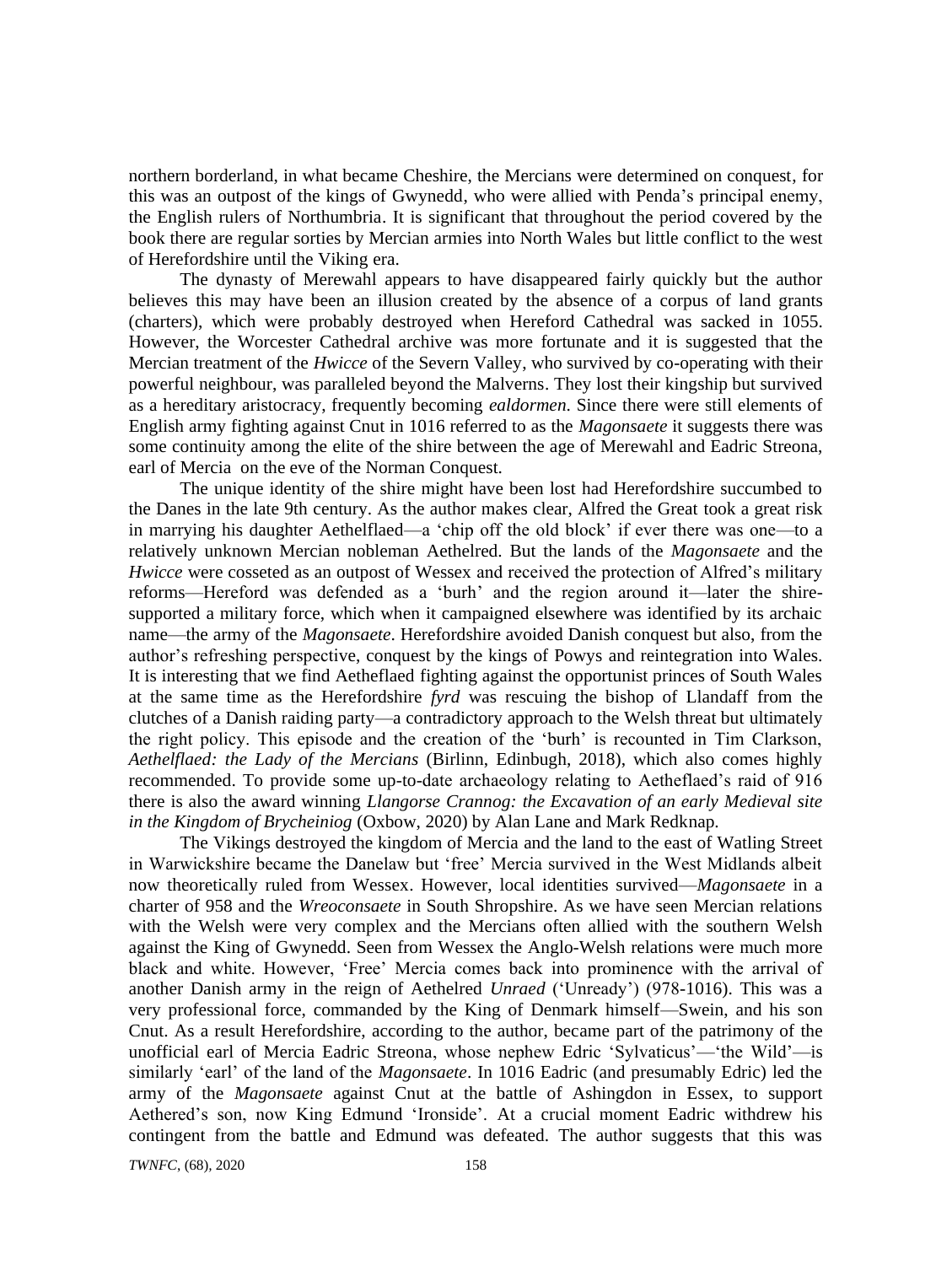northern borderland, in what became Cheshire, the Mercians were determined on conquest, for this was an outpost of the kings of Gwynedd, who were allied with Penda's principal enemy, the English rulers of Northumbria. It is significant that throughout the period covered by the book there are regular sorties by Mercian armies into North Wales but little conflict to the west of Herefordshire until the Viking era.

The dynasty of Merewahl appears to have disappeared fairly quickly but the author believes this may have been an illusion created by the absence of a corpus of land grants (charters), which were probably destroyed when Hereford Cathedral was sacked in 1055. However, the Worcester Cathedral archive was more fortunate and it is suggested that the Mercian treatment of the *Hwicce* of the Severn Valley, who survived by co-operating with their powerful neighbour, was paralleled beyond the Malverns. They lost their kingship but survived as a hereditary aristocracy, frequently becoming *ealdormen*. Since there were still elements of English army fighting against Cnut in 1016 referred to as the *Magonsaete* it suggests there was some continuity among the elite of the shire between the age of Merewahl and Eadric Streona, earl of Mercia on the eve of the Norman Conquest.

The unique identity of the shire might have been lost had Herefordshire succumbed to the Danes in the late 9th century. As the author makes clear, Alfred the Great took a great risk in marrying his daughter Aethelflaed—a 'chip off the old block' if ever there was one—to a relatively unknown Mercian nobleman Aethelred. But the lands of the *Magonsaete* and the *Hwicce* were cosseted as an outpost of Wessex and received the protection of Alfred's military reforms—Hereford was defended as a 'burh' and the region around it—later the shiresupported a military force, which when it campaigned elsewhere was identified by its archaic name—the army of the *Magonsaete*. Herefordshire avoided Danish conquest but also, from the author's refreshing perspective, conquest by the kings of Powys and reintegration into Wales. It is interesting that we find Aetheflaed fighting against the opportunist princes of South Wales at the same time as the Herefordshire *fyrd* was rescuing the bishop of Llandaff from the clutches of a Danish raiding party—a contradictory approach to the Welsh threat but ultimately the right policy. This episode and the creation of the 'burh' is recounted in Tim Clarkson, *Aethelflaed: the Lady of the Mercians* (Birlinn, Edinbugh, 2018), which also comes highly recommended. To provide some up-to-date archaeology relating to Aetheflaed's raid of 916 there is also the award winning *Llangorse Crannog: the Excavation of an early Medieval site in the Kingdom of Brycheiniog* (Oxbow, 2020) by Alan Lane and Mark Redknap.

The Vikings destroyed the kingdom of Mercia and the land to the east of Watling Street in Warwickshire became the Danelaw but 'free' Mercia survived in the West Midlands albeit now theoretically ruled from Wessex. However, local identities survived—*Magonsaete* in a charter of 958 and the *Wreoconsaete* in South Shropshire. As we have seen Mercian relations with the Welsh were very complex and the Mercians often allied with the southern Welsh against the King of Gwynedd. Seen from Wessex the Anglo-Welsh relations were much more black and white. However, 'Free' Mercia comes back into prominence with the arrival of another Danish army in the reign of Aethelred *Unraed* ('Unready') (978-1016). This was a very professional force, commanded by the King of Denmark himself—Swein, and his son Cnut. As a result Herefordshire, according to the author, became part of the patrimony of the unofficial earl of Mercia Eadric Streona, whose nephew Edric 'Sylvaticus'—'the Wild'—is similarly 'earl' of the land of the *Magonsaete*. In 1016 Eadric (and presumably Edric) led the army of the *Magonsaete* against Cnut at the battle of Ashingdon in Essex, to support Aethered's son, now King Edmund 'Ironside'. At a crucial moment Eadric withdrew his contingent from the battle and Edmund was defeated. The author suggests that this was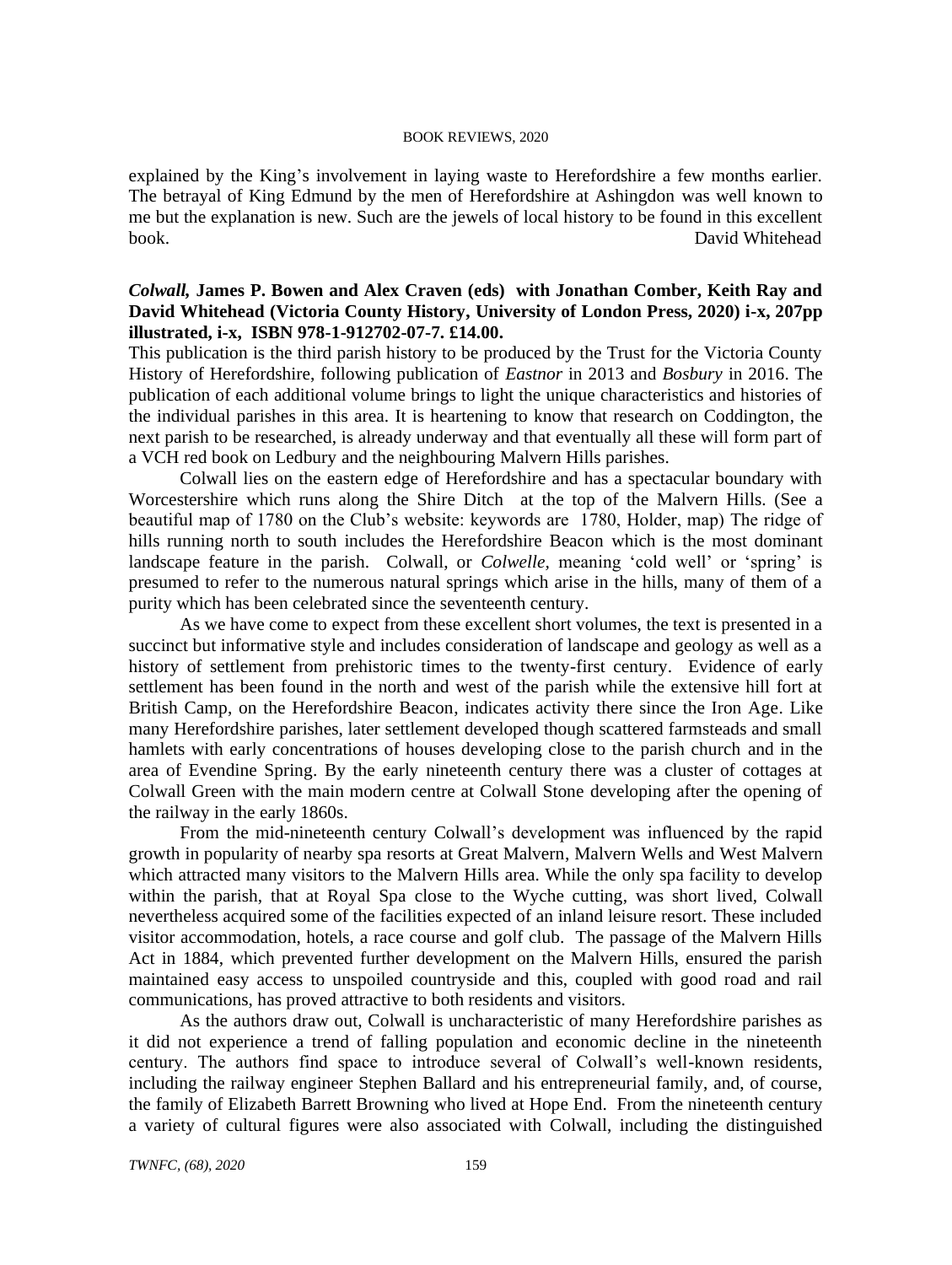explained by the King's involvement in laying waste to Herefordshire a few months earlier. The betrayal of King Edmund by the men of Herefordshire at Ashingdon was well known to me but the explanation is new. Such are the jewels of local history to be found in this excellent book. David Whitehead

## *Colwall,* **James P. Bowen and Alex Craven (eds) with Jonathan Comber, Keith Ray and David Whitehead (Victoria County History, University of London Press, 2020) i-x, 207pp illustrated, i-x, ISBN 978-1-912702-07-7. £14.00.**

This publication is the third parish history to be produced by the Trust for the Victoria County History of Herefordshire, following publication of *Eastnor* in 2013 and *Bosbury* in 2016. The publication of each additional volume brings to light the unique characteristics and histories of the individual parishes in this area. It is heartening to know that research on Coddington, the next parish to be researched, is already underway and that eventually all these will form part of a VCH red book on Ledbury and the neighbouring Malvern Hills parishes.

Colwall lies on the eastern edge of Herefordshire and has a spectacular boundary with Worcestershire which runs along the Shire Ditch at the top of the Malvern Hills. (See a beautiful map of 1780 on the Club's website: keywords are 1780, Holder, map) The ridge of hills running north to south includes the Herefordshire Beacon which is the most dominant landscape feature in the parish. Colwall, or *Colwelle,* meaning 'cold well' or 'spring' is presumed to refer to the numerous natural springs which arise in the hills, many of them of a purity which has been celebrated since the seventeenth century.

As we have come to expect from these excellent short volumes, the text is presented in a succinct but informative style and includes consideration of landscape and geology as well as a history of settlement from prehistoric times to the twenty-first century. Evidence of early settlement has been found in the north and west of the parish while the extensive hill fort at British Camp, on the Herefordshire Beacon, indicates activity there since the Iron Age. Like many Herefordshire parishes, later settlement developed though scattered farmsteads and small hamlets with early concentrations of houses developing close to the parish church and in the area of Evendine Spring. By the early nineteenth century there was a cluster of cottages at Colwall Green with the main modern centre at Colwall Stone developing after the opening of the railway in the early 1860s.

From the mid-nineteenth century Colwall's development was influenced by the rapid growth in popularity of nearby spa resorts at Great Malvern, Malvern Wells and West Malvern which attracted many visitors to the Malvern Hills area. While the only spa facility to develop within the parish, that at Royal Spa close to the Wyche cutting, was short lived, Colwall nevertheless acquired some of the facilities expected of an inland leisure resort. These included visitor accommodation, hotels, a race course and golf club. The passage of the Malvern Hills Act in 1884, which prevented further development on the Malvern Hills, ensured the parish maintained easy access to unspoiled countryside and this, coupled with good road and rail communications, has proved attractive to both residents and visitors.

As the authors draw out, Colwall is uncharacteristic of many Herefordshire parishes as it did not experience a trend of falling population and economic decline in the nineteenth century. The authors find space to introduce several of Colwall's well-known residents, including the railway engineer Stephen Ballard and his entrepreneurial family, and, of course, the family of Elizabeth Barrett Browning who lived at Hope End. From the nineteenth century a variety of cultural figures were also associated with Colwall, including the distinguished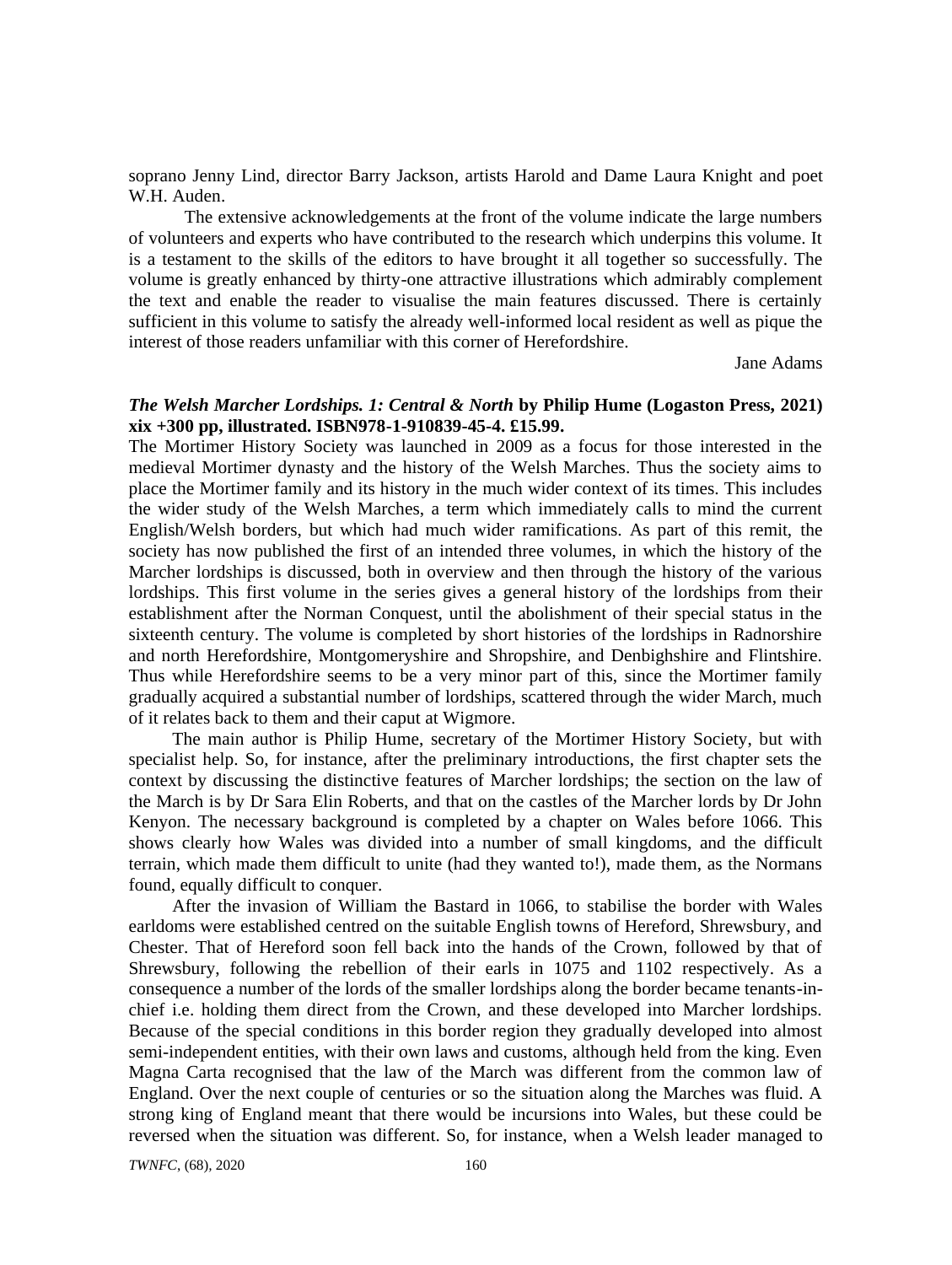soprano Jenny Lind, director Barry Jackson, artists Harold and Dame Laura Knight and poet W.H. Auden.

The extensive acknowledgements at the front of the volume indicate the large numbers of volunteers and experts who have contributed to the research which underpins this volume. It is a testament to the skills of the editors to have brought it all together so successfully. The volume is greatly enhanced by thirty-one attractive illustrations which admirably complement the text and enable the reader to visualise the main features discussed. There is certainly sufficient in this volume to satisfy the already well-informed local resident as well as pique the interest of those readers unfamiliar with this corner of Herefordshire.

Jane Adams

## *The Welsh Marcher Lordships. 1: Central & North* **by Philip Hume (Logaston Press, 2021) xix +300 pp, illustrated. ISBN978-1-910839-45-4. £15.99.**

The Mortimer History Society was launched in 2009 as a focus for those interested in the medieval Mortimer dynasty and the history of the Welsh Marches. Thus the society aims to place the Mortimer family and its history in the much wider context of its times. This includes the wider study of the Welsh Marches, a term which immediately calls to mind the current English/Welsh borders, but which had much wider ramifications. As part of this remit, the society has now published the first of an intended three volumes, in which the history of the Marcher lordships is discussed, both in overview and then through the history of the various lordships. This first volume in the series gives a general history of the lordships from their establishment after the Norman Conquest, until the abolishment of their special status in the sixteenth century. The volume is completed by short histories of the lordships in Radnorshire and north Herefordshire, Montgomeryshire and Shropshire, and Denbighshire and Flintshire. Thus while Herefordshire seems to be a very minor part of this, since the Mortimer family gradually acquired a substantial number of lordships, scattered through the wider March, much of it relates back to them and their caput at Wigmore.

The main author is Philip Hume, secretary of the Mortimer History Society, but with specialist help. So, for instance, after the preliminary introductions, the first chapter sets the context by discussing the distinctive features of Marcher lordships; the section on the law of the March is by Dr Sara Elin Roberts, and that on the castles of the Marcher lords by Dr John Kenyon. The necessary background is completed by a chapter on Wales before 1066. This shows clearly how Wales was divided into a number of small kingdoms, and the difficult terrain, which made them difficult to unite (had they wanted to!), made them, as the Normans found, equally difficult to conquer.

After the invasion of William the Bastard in 1066, to stabilise the border with Wales earldoms were established centred on the suitable English towns of Hereford, Shrewsbury, and Chester. That of Hereford soon fell back into the hands of the Crown, followed by that of Shrewsbury, following the rebellion of their earls in 1075 and 1102 respectively. As a consequence a number of the lords of the smaller lordships along the border became tenants-inchief i.e. holding them direct from the Crown, and these developed into Marcher lordships. Because of the special conditions in this border region they gradually developed into almost semi-independent entities, with their own laws and customs, although held from the king. Even Magna Carta recognised that the law of the March was different from the common law of England. Over the next couple of centuries or so the situation along the Marches was fluid. A strong king of England meant that there would be incursions into Wales, but these could be reversed when the situation was different. So, for instance, when a Welsh leader managed to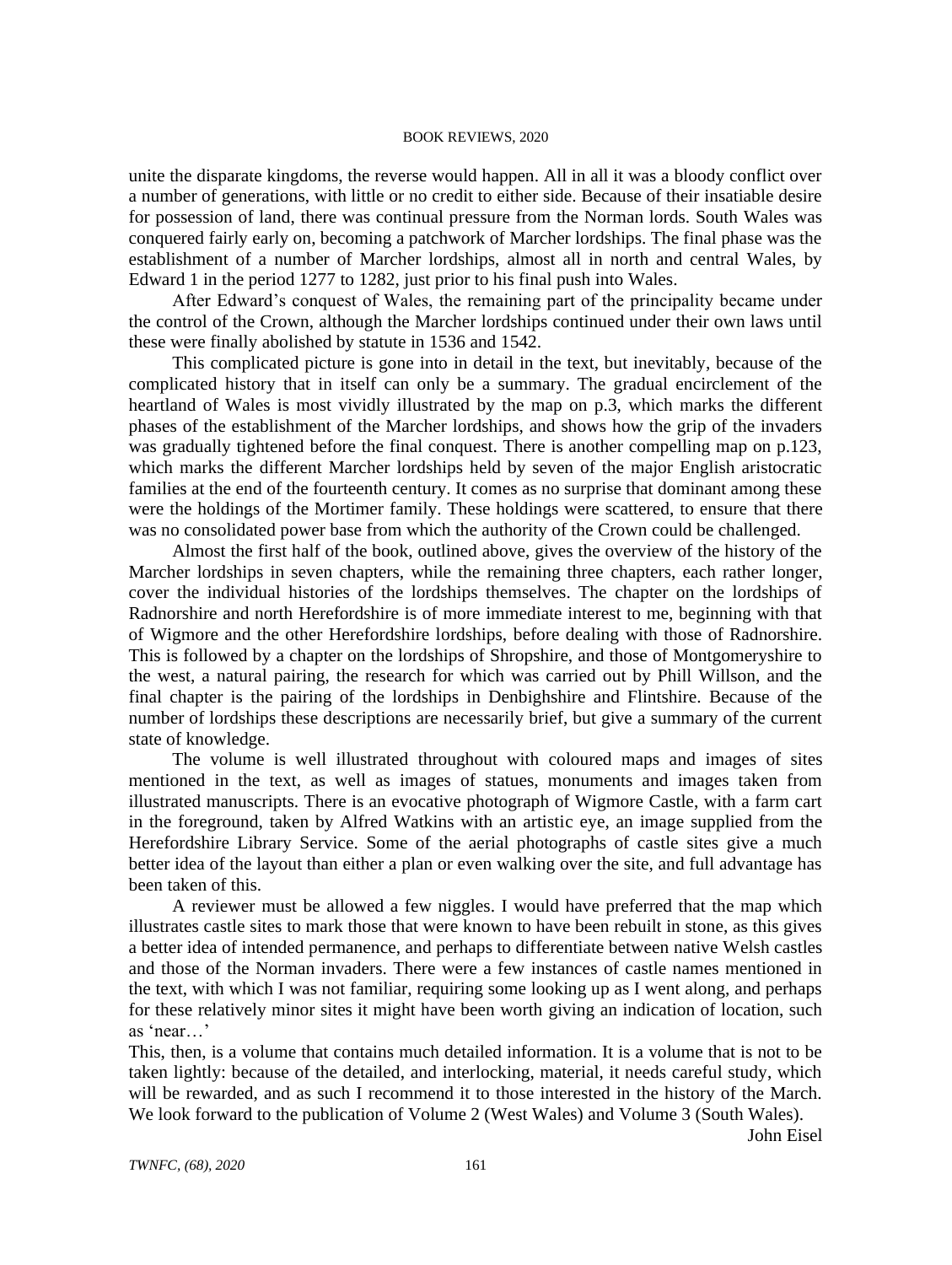unite the disparate kingdoms, the reverse would happen. All in all it was a bloody conflict over a number of generations, with little or no credit to either side. Because of their insatiable desire for possession of land, there was continual pressure from the Norman lords. South Wales was conquered fairly early on, becoming a patchwork of Marcher lordships. The final phase was the establishment of a number of Marcher lordships, almost all in north and central Wales, by Edward 1 in the period 1277 to 1282, just prior to his final push into Wales.

After Edward's conquest of Wales, the remaining part of the principality became under the control of the Crown, although the Marcher lordships continued under their own laws until these were finally abolished by statute in 1536 and 1542.

This complicated picture is gone into in detail in the text, but inevitably, because of the complicated history that in itself can only be a summary. The gradual encirclement of the heartland of Wales is most vividly illustrated by the map on p.3, which marks the different phases of the establishment of the Marcher lordships, and shows how the grip of the invaders was gradually tightened before the final conquest. There is another compelling map on p.123, which marks the different Marcher lordships held by seven of the major English aristocratic families at the end of the fourteenth century. It comes as no surprise that dominant among these were the holdings of the Mortimer family. These holdings were scattered, to ensure that there was no consolidated power base from which the authority of the Crown could be challenged.

Almost the first half of the book, outlined above, gives the overview of the history of the Marcher lordships in seven chapters, while the remaining three chapters, each rather longer, cover the individual histories of the lordships themselves. The chapter on the lordships of Radnorshire and north Herefordshire is of more immediate interest to me, beginning with that of Wigmore and the other Herefordshire lordships, before dealing with those of Radnorshire. This is followed by a chapter on the lordships of Shropshire, and those of Montgomeryshire to the west, a natural pairing, the research for which was carried out by Phill Willson, and the final chapter is the pairing of the lordships in Denbighshire and Flintshire. Because of the number of lordships these descriptions are necessarily brief, but give a summary of the current state of knowledge.

The volume is well illustrated throughout with coloured maps and images of sites mentioned in the text, as well as images of statues, monuments and images taken from illustrated manuscripts. There is an evocative photograph of Wigmore Castle, with a farm cart in the foreground, taken by Alfred Watkins with an artistic eye, an image supplied from the Herefordshire Library Service. Some of the aerial photographs of castle sites give a much better idea of the layout than either a plan or even walking over the site, and full advantage has been taken of this.

A reviewer must be allowed a few niggles. I would have preferred that the map which illustrates castle sites to mark those that were known to have been rebuilt in stone, as this gives a better idea of intended permanence, and perhaps to differentiate between native Welsh castles and those of the Norman invaders. There were a few instances of castle names mentioned in the text, with which I was not familiar, requiring some looking up as I went along, and perhaps for these relatively minor sites it might have been worth giving an indication of location, such as 'near…'

This, then, is a volume that contains much detailed information. It is a volume that is not to be taken lightly: because of the detailed, and interlocking, material, it needs careful study, which will be rewarded, and as such I recommend it to those interested in the history of the March. We look forward to the publication of Volume 2 (West Wales) and Volume 3 (South Wales).

John Eisel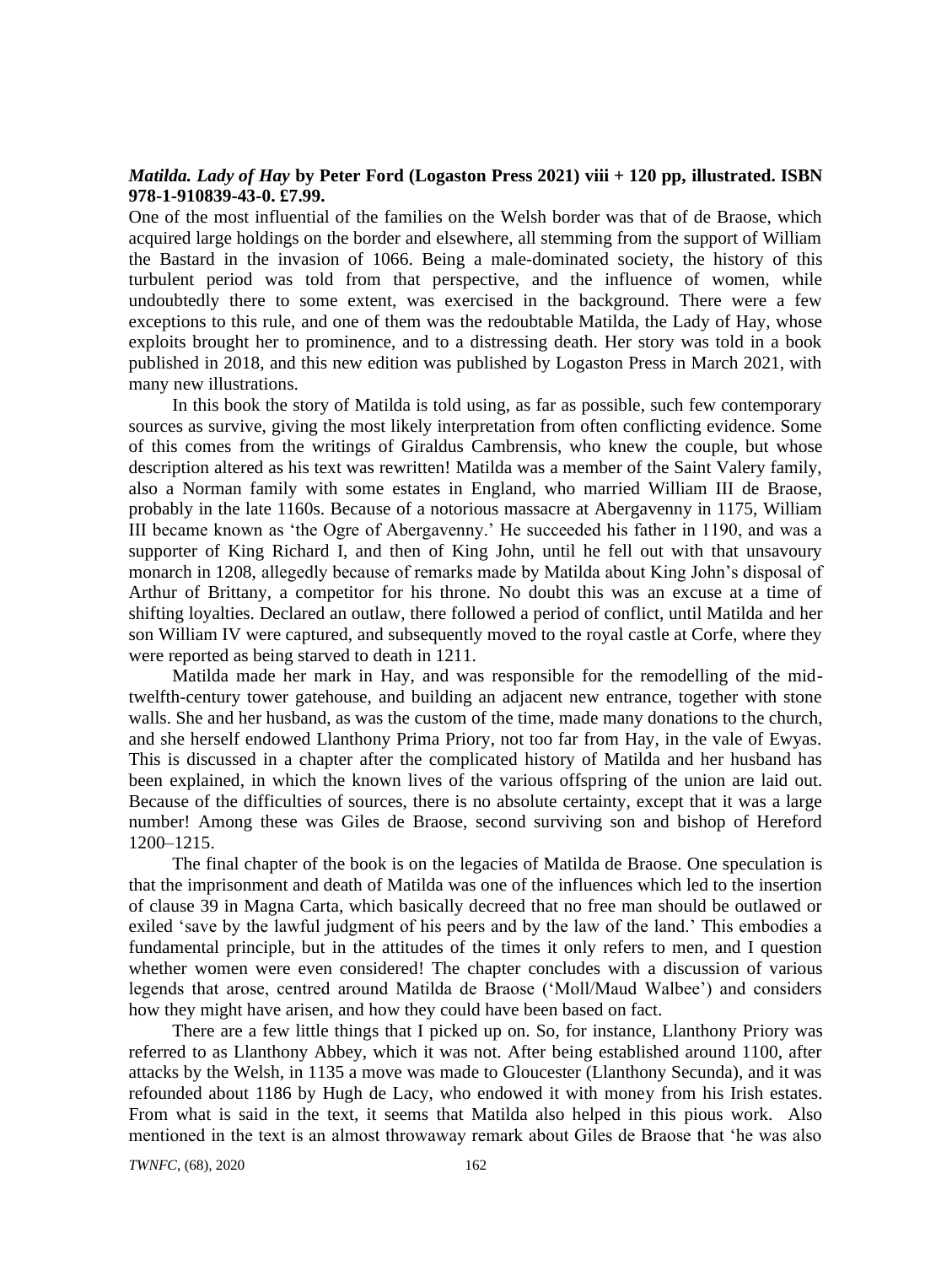## *Matilda. Lady of Hay* **by Peter Ford (Logaston Press 2021) viii + 120 pp, illustrated. ISBN 978-1-910839-43-0. £7.99.**

One of the most influential of the families on the Welsh border was that of de Braose, which acquired large holdings on the border and elsewhere, all stemming from the support of William the Bastard in the invasion of 1066. Being a male-dominated society, the history of this turbulent period was told from that perspective, and the influence of women, while undoubtedly there to some extent, was exercised in the background. There were a few exceptions to this rule, and one of them was the redoubtable Matilda, the Lady of Hay, whose exploits brought her to prominence, and to a distressing death. Her story was told in a book published in 2018, and this new edition was published by Logaston Press in March 2021, with many new illustrations.

In this book the story of Matilda is told using, as far as possible, such few contemporary sources as survive, giving the most likely interpretation from often conflicting evidence. Some of this comes from the writings of Giraldus Cambrensis, who knew the couple, but whose description altered as his text was rewritten! Matilda was a member of the Saint Valery family, also a Norman family with some estates in England, who married William III de Braose, probably in the late 1160s. Because of a notorious massacre at Abergavenny in 1175, William III became known as 'the Ogre of Abergavenny.' He succeeded his father in 1190, and was a supporter of King Richard I, and then of King John, until he fell out with that unsavoury monarch in 1208, allegedly because of remarks made by Matilda about King John's disposal of Arthur of Brittany, a competitor for his throne. No doubt this was an excuse at a time of shifting loyalties. Declared an outlaw, there followed a period of conflict, until Matilda and her son William IV were captured, and subsequently moved to the royal castle at Corfe, where they were reported as being starved to death in 1211.

Matilda made her mark in Hay, and was responsible for the remodelling of the midtwelfth-century tower gatehouse, and building an adjacent new entrance, together with stone walls. She and her husband, as was the custom of the time, made many donations to the church, and she herself endowed Llanthony Prima Priory, not too far from Hay, in the vale of Ewyas. This is discussed in a chapter after the complicated history of Matilda and her husband has been explained, in which the known lives of the various offspring of the union are laid out. Because of the difficulties of sources, there is no absolute certainty, except that it was a large number! Among these was Giles de Braose, second surviving son and bishop of Hereford 1200–1215.

The final chapter of the book is on the legacies of Matilda de Braose. One speculation is that the imprisonment and death of Matilda was one of the influences which led to the insertion of clause 39 in Magna Carta, which basically decreed that no free man should be outlawed or exiled 'save by the lawful judgment of his peers and by the law of the land.' This embodies a fundamental principle, but in the attitudes of the times it only refers to men, and I question whether women were even considered! The chapter concludes with a discussion of various legends that arose, centred around Matilda de Braose ('Moll/Maud Walbee') and considers how they might have arisen, and how they could have been based on fact.

There are a few little things that I picked up on. So, for instance, Llanthony Priory was referred to as Llanthony Abbey, which it was not. After being established around 1100, after attacks by the Welsh, in 1135 a move was made to Gloucester (Llanthony Secunda), and it was refounded about 1186 by Hugh de Lacy, who endowed it with money from his Irish estates. From what is said in the text, it seems that Matilda also helped in this pious work. Also mentioned in the text is an almost throwaway remark about Giles de Braose that 'he was also